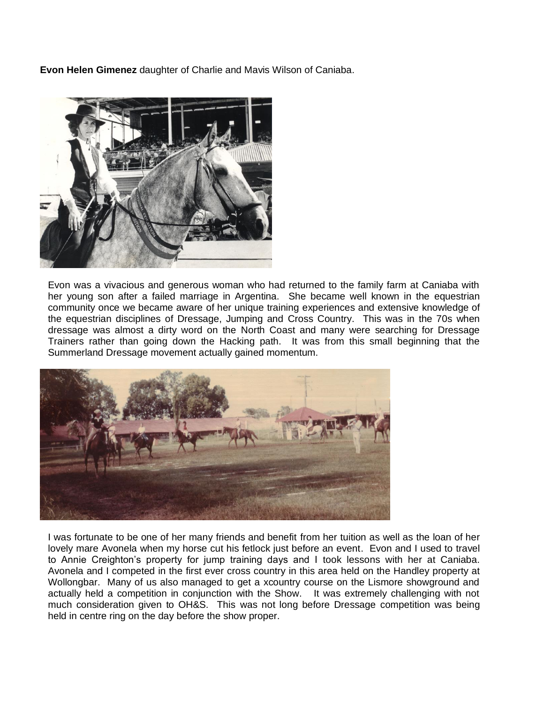**Evon Helen Gimenez** daughter of Charlie and Mavis Wilson of Caniaba.



 Evon was a vivacious and generous woman who had returned to the family farm at Caniaba with her young son after a failed marriage in Argentina. She became well known in the equestrian community once we became aware of her unique training experiences and extensive knowledge of the equestrian disciplines of Dressage, Jumping and Cross Country. This was in the 70s when dressage was almost a dirty word on the North Coast and many were searching for Dressage Trainers rather than going down the Hacking path. It was from this small beginning that the Summerland Dressage movement actually gained momentum.



I was fortunate to be one of her many friends and benefit from her tuition as well as the loan of her lovely mare Avonela when my horse cut his fetlock just before an event. Evon and I used to travel to Annie Creighton's property for jump training days and I took lessons with her at Caniaba. Avonela and I competed in the first ever cross country in this area held on the Handley property at Wollongbar. Many of us also managed to get a xcountry course on the Lismore showground and actually held a competition in conjunction with the Show. It was extremely challenging with not much consideration given to OH&S. This was not long before Dressage competition was being held in centre ring on the day before the show proper.